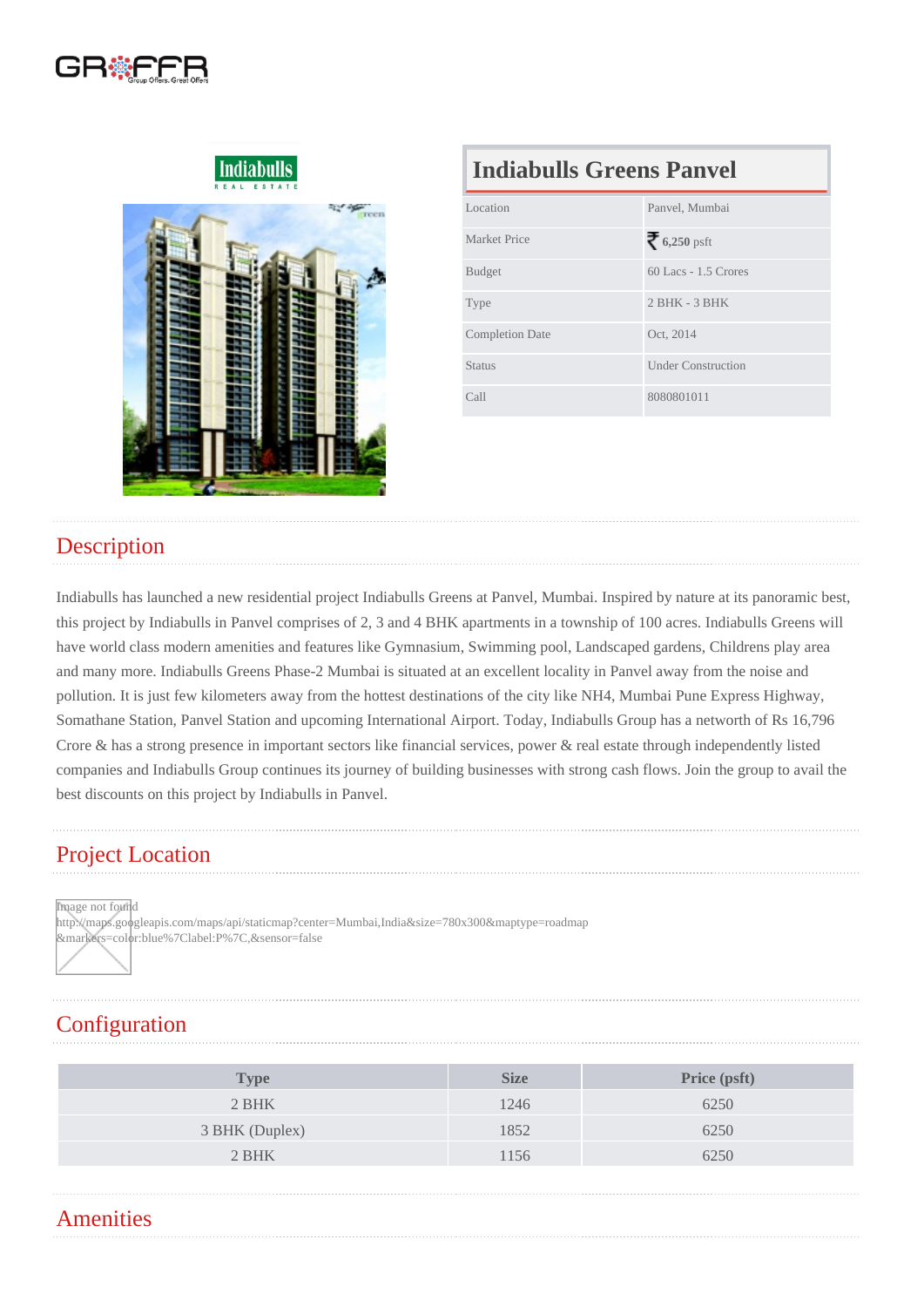### Indiabulls Greens Panvel

| Location               | Panvel, Mumbai            |  |
|------------------------|---------------------------|--|
| Market Price           | 6,250psft                 |  |
| <b>Budget</b>          | 60 Lacs - 1.5 Crores      |  |
| <b>Type</b>            | $2$ BHK - $3$ BHK         |  |
| <b>Completion Date</b> | Oct, 2014                 |  |
| <b>Status</b>          | <b>Under Construction</b> |  |
| Call                   | 8080801011                |  |

### **Description**

Indiabulls has launched a new residential project Indiabulls Greens at Panvel, Mumbai. Inspired by nature at its panoramic best, this project by Indiabulls in Panvel comprises of 2, 3 and 4 BHK apartments in a township of 100 acres. Indiabulls Greens will have world class modern amenities and features like Gymnasium, Swimming pool, Landscaped gardens, Childrens play area and many more. Indiabulls Greens Phase-2 Mumbai is situated at an excellent locality in Panvel away from the noise and pollution. It is just few kilometers away from the hottest destinations of the city like NH4, Mumbai Pune Express Highway, Somathane Station, Panvel Station and upcoming International Airport. Today, Indiabulls Group has a networth of Rs 16,796 Crore & has a strong presence in important sectors like financial services, power & real estate through independently listed companies and Indiabulls Group continues its journey of building businesses with strong cash flows. Join the group to avail the best discounts on this project by Indiabulls in Panvel.

## Project Location

Image not found

http://maps.googleapis.com/maps/api/staticmap?center=Mumbai,India&size=780x300&maptype=roadmap &markers=color:blue%7Clabel:P%7C,&sensor=false

# **Configuration**

| Type           | <b>Size</b> | Price (psft) |
|----------------|-------------|--------------|
| 2 BHK          | 1246        | 6250         |
| 3 BHK (Duplex) | 1852        | 6250         |
| 2 BHK          | 1156        | 6250         |
|                |             |              |

### **Amenities**